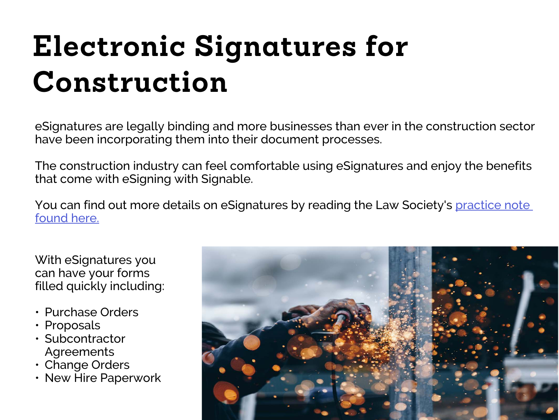# **Electronic Signatures for Construction**

eSignatures are legally binding and more businesses than ever in the construction sector have been incorporating them into their document processes.

The construction industry can feel comfortable using eSignatures and enjoy the benefits that come with eSigning with Signable.

You can find out more details on eSignatures by reading the Law Society's practice note [found here.](http://www.lawsociety.org.uk/support-services/advice/practice-notes/execution-of-a-document-using-an-electronic-signature/)

With eSignatures you can have your forms filled quickly including:

- Purchase Orders
- Proposals
- Subcontractor Agreements
- Change Orders
- New Hire Paperwork

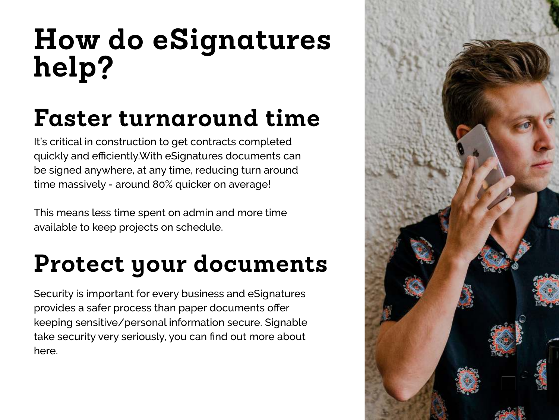## **How do eSignatures help?**

## **Faster turnaround time**

It's critical in construction to get contracts completed quickly and efficiently.With eSignatures documents can be signed anywhere, at any time, reducing turn around time massively - around 80% quicker on average!

This means less time spent on admin and more time available to keep projects on schedule.

### **Protect your documents**

Security is important for every business and eSignatures provides a safer process than paper documents offer keeping sensitive/personal information secure. Signable take security very seriously, you can find out more about here.

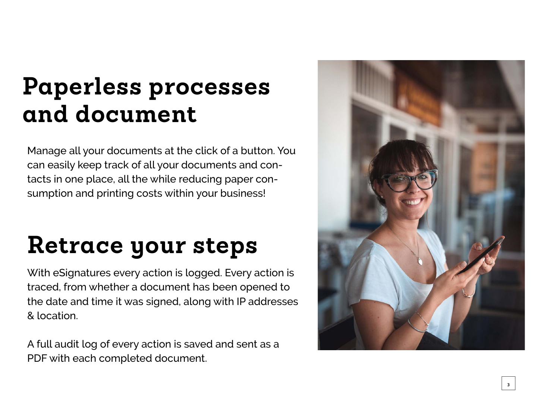#### **Paperless processes and document**

Manage all your documents at the click of a button. You can easily keep track of all your documents and contacts in one place, all the while reducing paper consumption and printing costs within your business!

#### **Retrace your steps**

With eSignatures every action is logged. Every action is traced, from whether a document has been opened to the date and time it was signed, along with IP addresses & location.

A full audit log of every action is saved and sent as a PDF with each completed document.

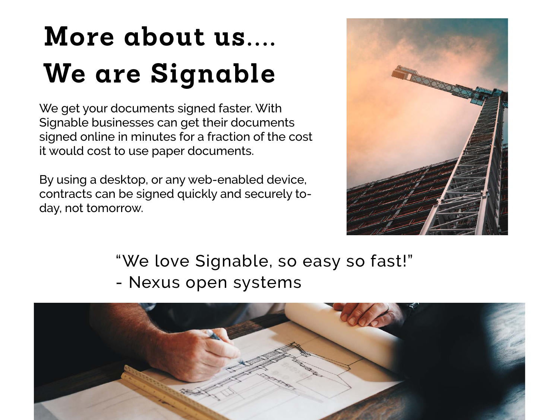## **More about us.... We are Signable**

We get your documents signed faster. With Signable businesses can get their documents signed online in minutes for a fraction of the cost it would cost to use paper documents.

By using a desktop, or any web-enabled device, contracts can be signed quickly and securely today, not tomorrow.



"We love Signable, so easy so fast!" - Nexus open systems